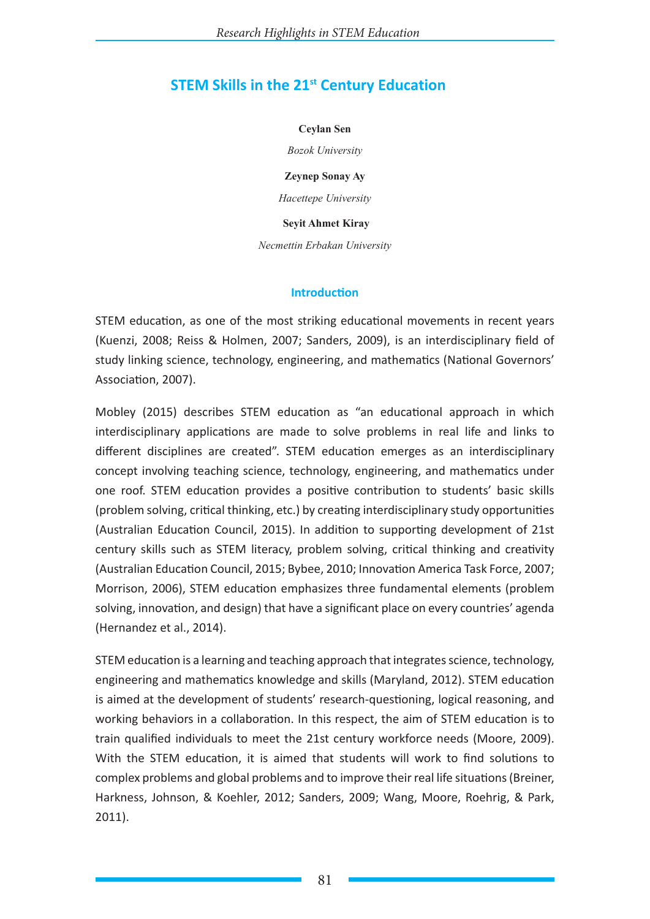# **STEM Skills in the 21st Century Education**

#### **Ceylan Sen**

*Bozok University*

**Zeynep Sonay Ay**

*Hacettepe University*

 **Seyit Ahmet Kiray**

*Necmettin Erbakan University*

#### **Introduction**

STEM education, as one of the most striking educational movements in recent years (Kuenzi, 2008; Reiss & Holmen, 2007; Sanders, 2009), is an interdisciplinary field of study linking science, technology, engineering, and mathematics (National Governors' Association, 2007).

Mobley (2015) describes STEM education as "an educational approach in which interdisciplinary applications are made to solve problems in real life and links to different disciplines are created". STEM education emerges as an interdisciplinary concept involving teaching science, technology, engineering, and mathematics under one roof. STEM education provides a positive contribution to students' basic skills (problem solving, critical thinking, etc.) by creating interdisciplinary study opportunities (Australian Education Council, 2015). In addition to supporting development of 21st century skills such as STEM literacy, problem solving, critical thinking and creativity (Australian Education Council, 2015; Bybee, 2010; Innovation America Task Force, 2007; Morrison, 2006), STEM education emphasizes three fundamental elements (problem solving, innovation, and design) that have a significant place on every countries' agenda (Hernandez et al., 2014).

STEM education is a learning and teaching approach that integrates science, technology, engineering and mathematics knowledge and skills (Maryland, 2012). STEM education is aimed at the development of students' research-questioning, logical reasoning, and working behaviors in a collaboration. In this respect, the aim of STEM education is to train qualified individuals to meet the 21st century workforce needs (Moore, 2009). With the STEM education, it is aimed that students will work to find solutions to complex problems and global problems and to improve their real life situations (Breiner, Harkness, Johnson, & Koehler, 2012; Sanders, 2009; Wang, Moore, Roehrig, & Park, 2011).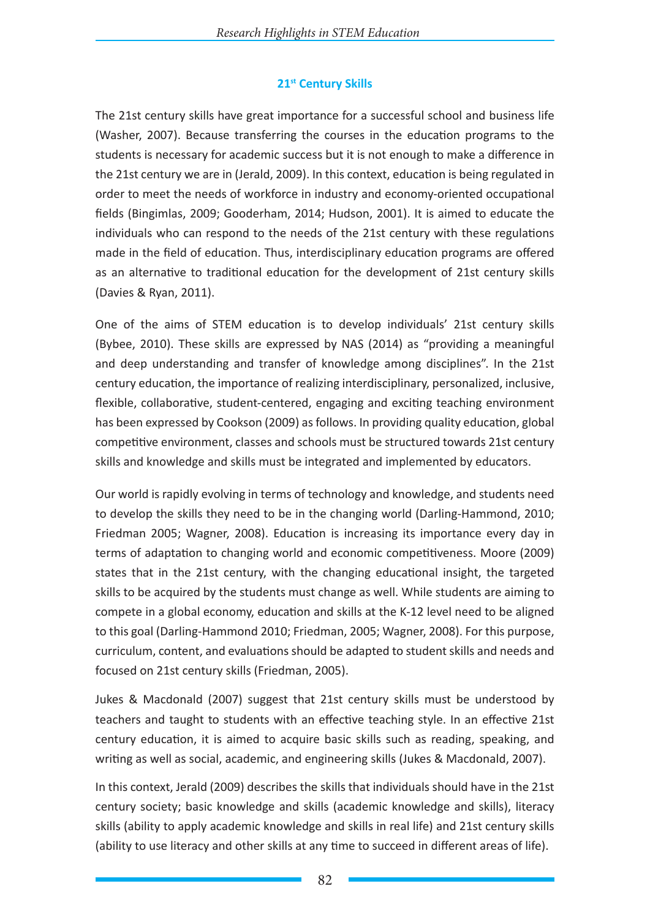### **21st Century Skills**

The 21st century skills have great importance for a successful school and business life (Washer, 2007). Because transferring the courses in the education programs to the students is necessary for academic success but it is not enough to make a difference in the 21st century we are in (Jerald, 2009). In this context, education is being regulated in order to meet the needs of workforce in industry and economy-oriented occupational fields (Bingimlas, 2009; Gooderham, 2014; Hudson, 2001). It is aimed to educate the individuals who can respond to the needs of the 21st century with these regulations made in the field of education. Thus, interdisciplinary education programs are offered as an alternative to traditional education for the development of 21st century skills (Davies & Ryan, 2011).

One of the aims of STEM education is to develop individuals' 21st century skills (Bybee, 2010). These skills are expressed by NAS (2014) as "providing a meaningful and deep understanding and transfer of knowledge among disciplines". In the 21st century education, the importance of realizing interdisciplinary, personalized, inclusive, flexible, collaborative, student-centered, engaging and exciting teaching environment has been expressed by Cookson (2009) as follows. In providing quality education, global competitive environment, classes and schools must be structured towards 21st century skills and knowledge and skills must be integrated and implemented by educators.

Our world is rapidly evolving in terms of technology and knowledge, and students need to develop the skills they need to be in the changing world (Darling-Hammond, 2010; Friedman 2005; Wagner, 2008). Education is increasing its importance every day in terms of adaptation to changing world and economic competitiveness. Moore (2009) states that in the 21st century, with the changing educational insight, the targeted skills to be acquired by the students must change as well. While students are aiming to compete in a global economy, education and skills at the K-12 level need to be aligned to this goal (Darling-Hammond 2010; Friedman, 2005; Wagner, 2008). For this purpose, curriculum, content, and evaluations should be adapted to student skills and needs and focused on 21st century skills (Friedman, 2005).

Jukes & Macdonald (2007) suggest that 21st century skills must be understood by teachers and taught to students with an effective teaching style. In an effective 21st century education, it is aimed to acquire basic skills such as reading, speaking, and writing as well as social, academic, and engineering skills (Jukes & Macdonald, 2007).

In this context, Jerald (2009) describes the skills that individuals should have in the 21st century society; basic knowledge and skills (academic knowledge and skills), literacy skills (ability to apply academic knowledge and skills in real life) and 21st century skills (ability to use literacy and other skills at any time to succeed in different areas of life).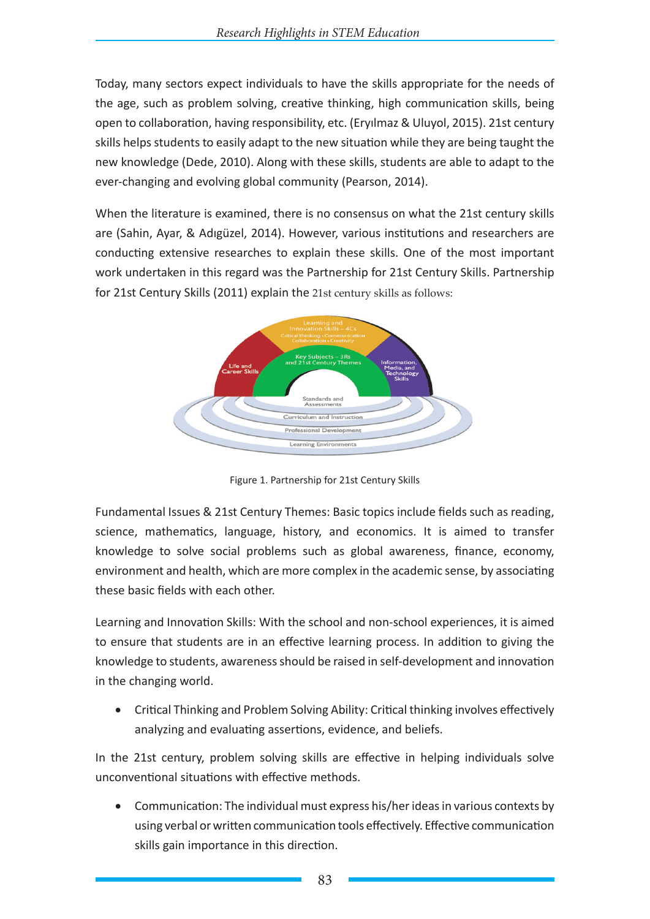Today, many sectors expect individuals to have the skills appropriate for the needs of the age, such as problem solving, creative thinking, high communication skills, being open to collaboration, having responsibility, etc. (Eryılmaz & Uluyol, 2015). 21st century skills helps students to easily adapt to the new situation while they are being taught the new knowledge (Dede, 2010). Along with these skills, students are able to adapt to the ever-changing and evolving global community (Pearson, 2014).

When the literature is examined, there is no consensus on what the 21st century skills are (Sahin, Ayar, & Adıgüzel, 2014). However, various institutions and researchers are conducting extensive researches to explain these skills. One of the most important work undertaken in this regard was the Partnership for 21st Century Skills. Partnership for 21st Century Skills (2011) explain the 21st century skills as follows:



Figure 1. Partnership for 21st Century Skills

Fundamental Issues & 21st Century Themes: Basic topics include fields such as reading, science, mathematics, language, history, and economics. It is aimed to transfer knowledge to solve social problems such as global awareness, finance, economy, environment and health, which are more complex in the academic sense, by associating these basic fields with each other.

Learning and Innovation Skills: With the school and non-school experiences, it is aimed to ensure that students are in an effective learning process. In addition to giving the knowledge to students, awareness should be raised in self-development and innovation in the changing world.

• Critical Thinking and Problem Solving Ability: Critical thinking involves effectively analyzing and evaluating assertions, evidence, and beliefs.

In the 21st century, problem solving skills are effective in helping individuals solve unconventional situations with effective methods.

Communication: The individual must express his/her ideas in various contexts by using verbal or written communication tools effectively. Effective communication skills gain importance in this direction.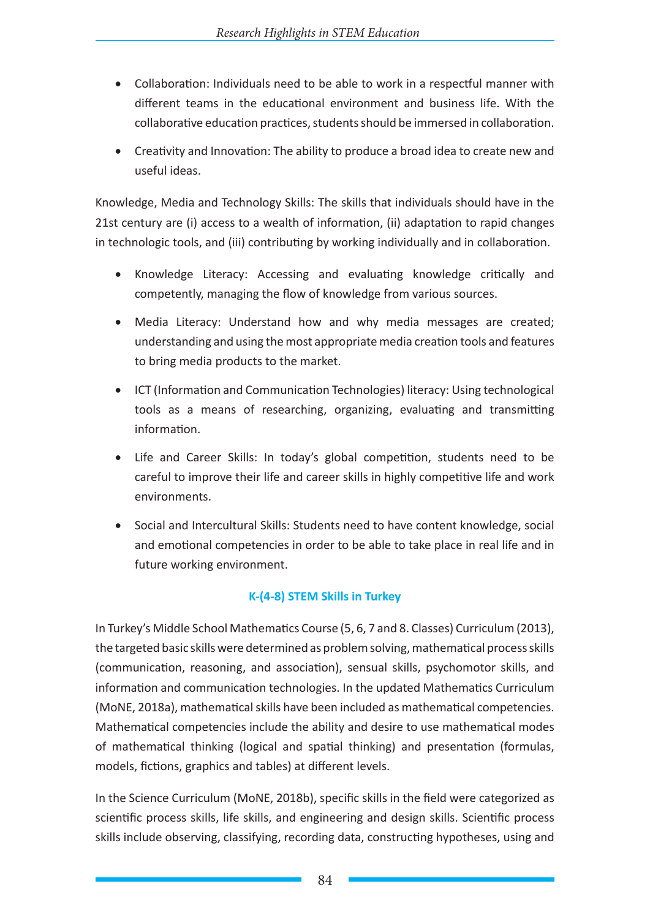- • Collaboration: Individuals need to be able to work in a respectful manner with different teams in the educational environment and business life. With the collaborative education practices, students should be immersed in collaboration.
- Creativity and Innovation: The ability to produce a broad idea to create new and useful ideas.

Knowledge, Media and Technology Skills: The skills that individuals should have in the 21st century are (i) access to a wealth of information, (ii) adaptation to rapid changes in technologic tools, and (iii) contributing by working individually and in collaboration.

- • Knowledge Literacy: Accessing and evaluating knowledge critically and competently, managing the flow of knowledge from various sources.
- Media Literacy: Understand how and why media messages are created; understanding and using the most appropriate media creation tools and features to bring media products to the market.
- • ICT (Information and Communication Technologies) literacy: Using technological tools as a means of researching, organizing, evaluating and transmitting information.
- Life and Career Skills: In today's global competition, students need to be careful to improve their life and career skills in highly competitive life and work environments.
- Social and Intercultural Skills: Students need to have content knowledge, social and emotional competencies in order to be able to take place in real life and in future working environment.

## **K-(4-8) STEM Skills in Turkey**

In Turkey's Middle School Mathematics Course (5, 6, 7 and 8. Classes) Curriculum (2013), the targeted basic skills were determined as problem solving, mathematical process skills (communication, reasoning, and association), sensual skills, psychomotor skills, and information and communication technologies. In the updated Mathematics Curriculum (MoNE, 2018a), mathematical skills have been included as mathematical competencies. Mathematical competencies include the ability and desire to use mathematical modes of mathematical thinking (logical and spatial thinking) and presentation (formulas, models, fictions, graphics and tables) at different levels.

In the Science Curriculum (MoNE, 2018b), specific skills in the field were categorized as scientific process skills, life skills, and engineering and design skills. Scientific process skills include observing, classifying, recording data, constructing hypotheses, using and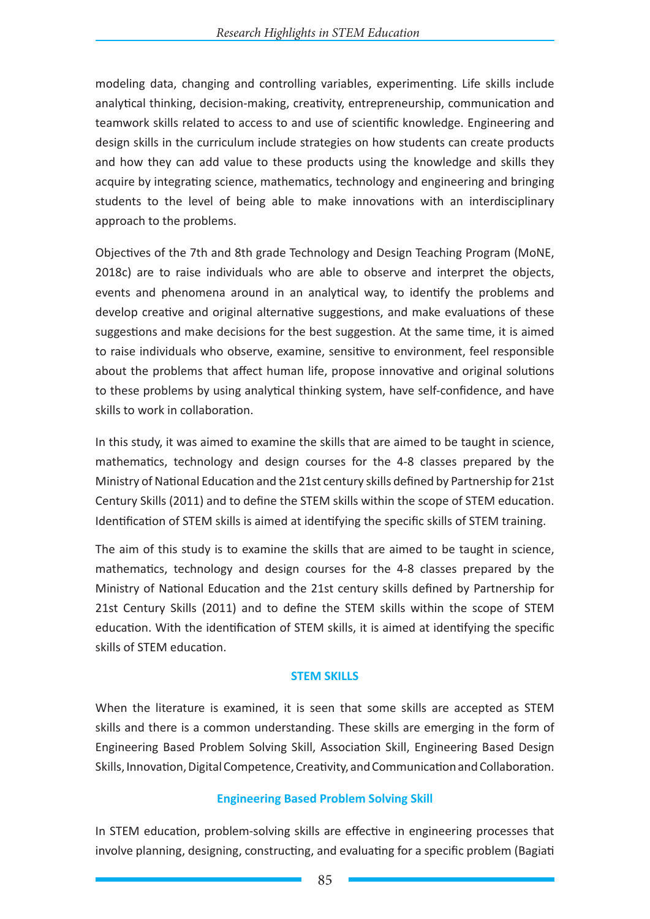modeling data, changing and controlling variables, experimenting. Life skills include analytical thinking, decision-making, creativity, entrepreneurship, communication and teamwork skills related to access to and use of scientific knowledge. Engineering and design skills in the curriculum include strategies on how students can create products and how they can add value to these products using the knowledge and skills they acquire by integrating science, mathematics, technology and engineering and bringing students to the level of being able to make innovations with an interdisciplinary approach to the problems.

Objectives of the 7th and 8th grade Technology and Design Teaching Program (MoNE, 2018c) are to raise individuals who are able to observe and interpret the objects, events and phenomena around in an analytical way, to identify the problems and develop creative and original alternative suggestions, and make evaluations of these suggestions and make decisions for the best suggestion. At the same time, it is aimed to raise individuals who observe, examine, sensitive to environment, feel responsible about the problems that affect human life, propose innovative and original solutions to these problems by using analytical thinking system, have self-confidence, and have skills to work in collaboration.

In this study, it was aimed to examine the skills that are aimed to be taught in science, mathematics, technology and design courses for the 4-8 classes prepared by the Ministry of National Education and the 21st century skills defined by Partnership for 21st Century Skills (2011) and to define the STEM skills within the scope of STEM education. Identification of STEM skills is aimed at identifying the specific skills of STEM training.

The aim of this study is to examine the skills that are aimed to be taught in science, mathematics, technology and design courses for the 4-8 classes prepared by the Ministry of National Education and the 21st century skills defined by Partnership for 21st Century Skills (2011) and to define the STEM skills within the scope of STEM education. With the identification of STEM skills, it is aimed at identifying the specific skills of STEM education.

#### **STEM SKILLS**

When the literature is examined, it is seen that some skills are accepted as STEM skills and there is a common understanding. These skills are emerging in the form of Engineering Based Problem Solving Skill, Association Skill, Engineering Based Design Skills, Innovation, Digital Competence, Creativity, and Communication and Collaboration.

#### **Engineering Based Problem Solving Skill**

In STEM education, problem-solving skills are effective in engineering processes that involve planning, designing, constructing, and evaluating for a specific problem (Bagiati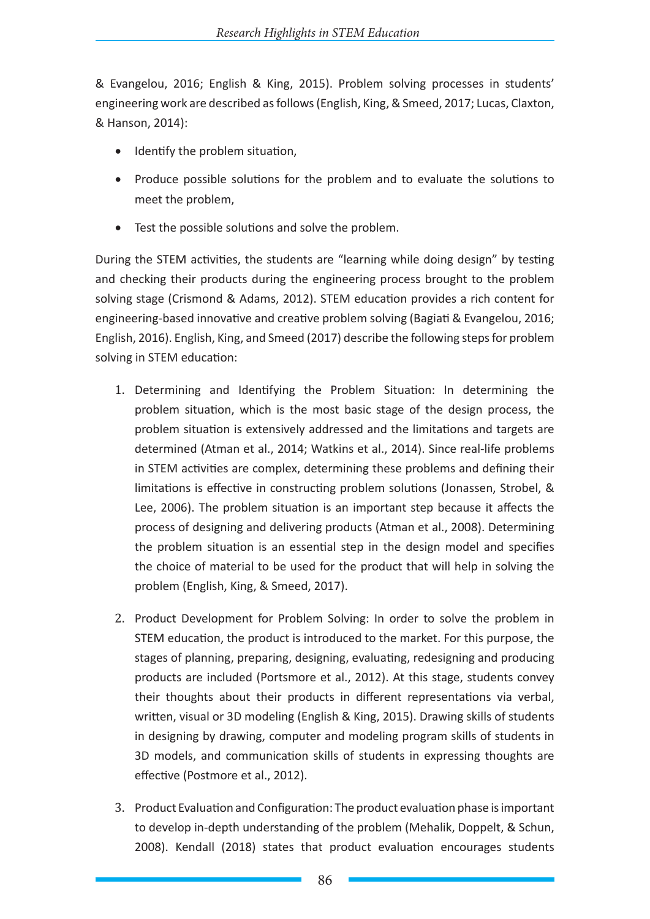& Evangelou, 2016; English & King, 2015). Problem solving processes in students' engineering work are described as follows (English, King, & Smeed, 2017; Lucas, Claxton, & Hanson, 2014):

- Identify the problem situation,
- Produce possible solutions for the problem and to evaluate the solutions to meet the problem,
- • Test the possible solutions and solve the problem.

During the STEM activities, the students are "learning while doing design" by testing and checking their products during the engineering process brought to the problem solving stage (Crismond & Adams, 2012). STEM education provides a rich content for engineering-based innovative and creative problem solving (Bagiati & Evangelou, 2016; English, 2016). English, King, and Smeed (2017) describe the following steps for problem solving in STEM education:

- 1. Determining and Identifying the Problem Situation: In determining the problem situation, which is the most basic stage of the design process, the problem situation is extensively addressed and the limitations and targets are determined (Atman et al., 2014; Watkins et al., 2014). Since real-life problems in STEM activities are complex, determining these problems and defining their limitations is effective in constructing problem solutions (Jonassen, Strobel, & Lee, 2006). The problem situation is an important step because it affects the process of designing and delivering products (Atman et al., 2008). Determining the problem situation is an essential step in the design model and specifies the choice of material to be used for the product that will help in solving the problem (English, King, & Smeed, 2017).
- 2. Product Development for Problem Solving: In order to solve the problem in STEM education, the product is introduced to the market. For this purpose, the stages of planning, preparing, designing, evaluating, redesigning and producing products are included (Portsmore et al., 2012). At this stage, students convey their thoughts about their products in different representations via verbal, written, visual or 3D modeling (English & King, 2015). Drawing skills of students in designing by drawing, computer and modeling program skills of students in 3D models, and communication skills of students in expressing thoughts are effective (Postmore et al., 2012).
- 3. Product Evaluation and Configuration: The product evaluation phase is important to develop in-depth understanding of the problem (Mehalik, Doppelt, & Schun, 2008). Kendall (2018) states that product evaluation encourages students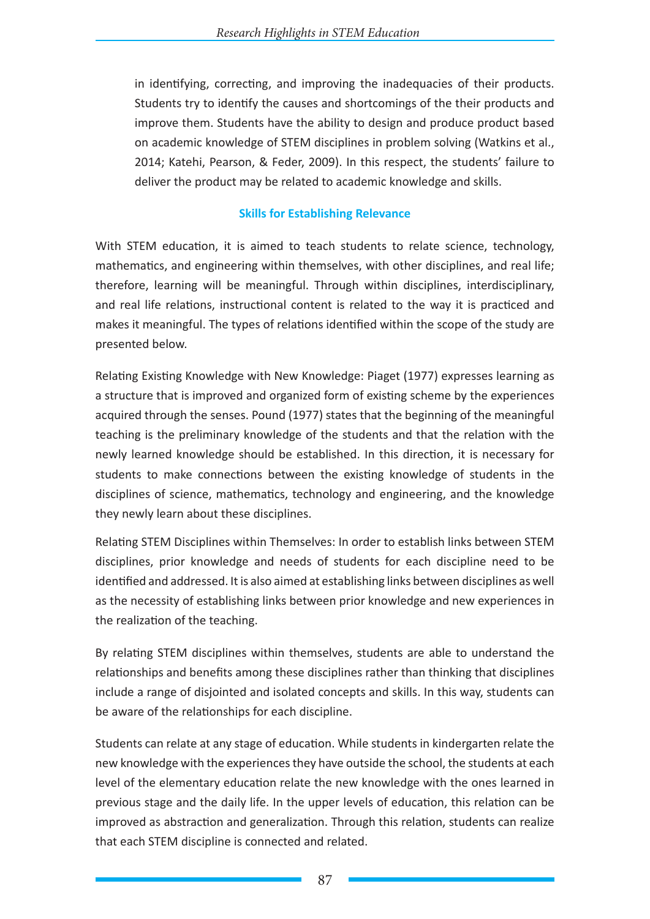in identifying, correcting, and improving the inadequacies of their products. Students try to identify the causes and shortcomings of the their products and improve them. Students have the ability to design and produce product based on academic knowledge of STEM disciplines in problem solving (Watkins et al., 2014; Katehi, Pearson, & Feder, 2009). In this respect, the students' failure to deliver the product may be related to academic knowledge and skills.

#### **Skills for Establishing Relevance**

With STEM education, it is aimed to teach students to relate science, technology, mathematics, and engineering within themselves, with other disciplines, and real life; therefore, learning will be meaningful. Through within disciplines, interdisciplinary, and real life relations, instructional content is related to the way it is practiced and makes it meaningful. The types of relations identified within the scope of the study are presented below.

Relating Existing Knowledge with New Knowledge: Piaget (1977) expresses learning as a structure that is improved and organized form of existing scheme by the experiences acquired through the senses. Pound (1977) states that the beginning of the meaningful teaching is the preliminary knowledge of the students and that the relation with the newly learned knowledge should be established. In this direction, it is necessary for students to make connections between the existing knowledge of students in the disciplines of science, mathematics, technology and engineering, and the knowledge they newly learn about these disciplines.

Relating STEM Disciplines within Themselves: In order to establish links between STEM disciplines, prior knowledge and needs of students for each discipline need to be identified and addressed. It is also aimed at establishing links between disciplines as well as the necessity of establishing links between prior knowledge and new experiences in the realization of the teaching.

By relating STEM disciplines within themselves, students are able to understand the relationships and benefits among these disciplines rather than thinking that disciplines include a range of disjointed and isolated concepts and skills. In this way, students can be aware of the relationships for each discipline.

Students can relate at any stage of education. While students in kindergarten relate the new knowledge with the experiences they have outside the school, the students at each level of the elementary education relate the new knowledge with the ones learned in previous stage and the daily life. In the upper levels of education, this relation can be improved as abstraction and generalization. Through this relation, students can realize that each STEM discipline is connected and related.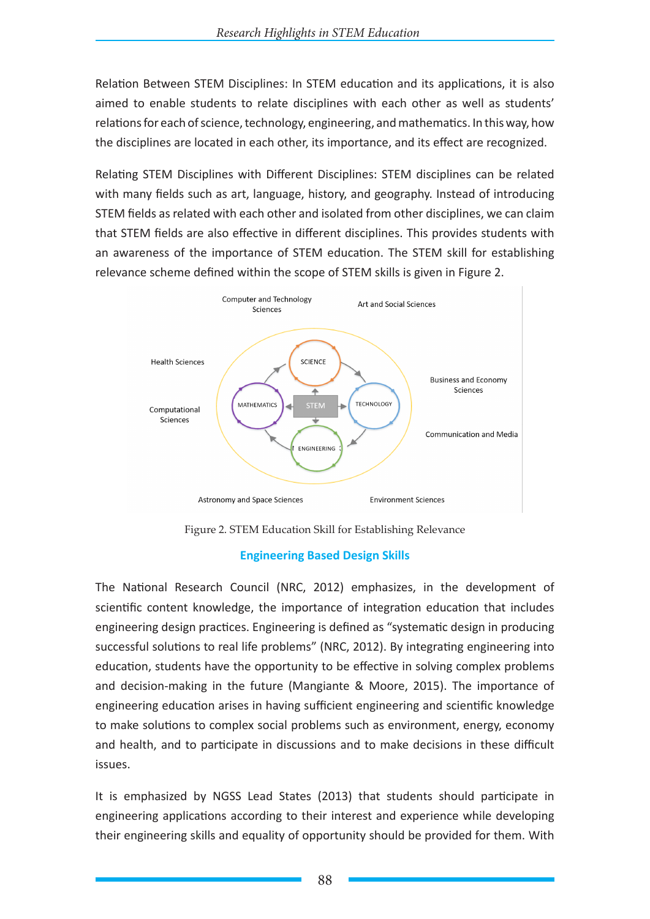Relation Between STEM Disciplines: In STEM education and its applications, it is also aimed to enable students to relate disciplines with each other as well as students' relations for each of science, technology, engineering, and mathematics. In this way, how the disciplines are located in each other, its importance, and its effect are recognized.

Relating STEM Disciplines with Different Disciplines: STEM disciplines can be related with many fields such as art, language, history, and geography. Instead of introducing STEM fields as related with each other and isolated from other disciplines, we can claim that STEM fields are also effective in different disciplines. This provides students with an awareness of the importance of STEM education. The STEM skill for establishing relevance scheme defined within the scope of STEM skills is given in Figure 2.



Figure 2. STEM Education Skill for Establishing Relevance

#### **Engineering Based Design Skills**

The National Research Council (NRC, 2012) emphasizes, in the development of scientific content knowledge, the importance of integration education that includes engineering design practices. Engineering is defined as "systematic design in producing successful solutions to real life problems" (NRC, 2012). By integrating engineering into education, students have the opportunity to be effective in solving complex problems and decision-making in the future (Mangiante & Moore, 2015). The importance of engineering education arises in having sufficient engineering and scientific knowledge to make solutions to complex social problems such as environment, energy, economy and health, and to participate in discussions and to make decisions in these difficult issues.

It is emphasized by NGSS Lead States (2013) that students should participate in engineering applications according to their interest and experience while developing their engineering skills and equality of opportunity should be provided for them. With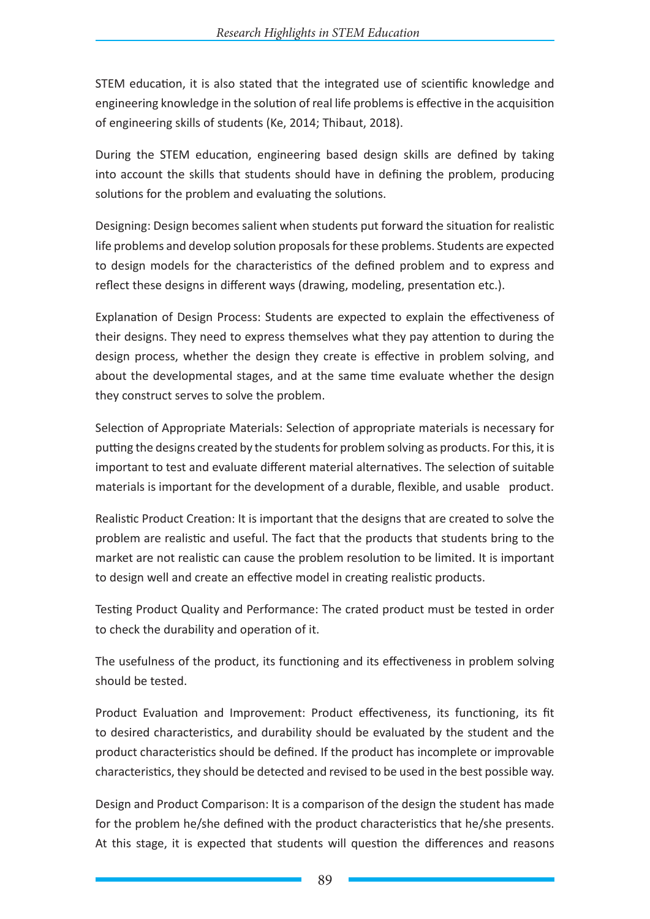STEM education, it is also stated that the integrated use of scientific knowledge and engineering knowledge in the solution of real life problems is effective in the acquisition of engineering skills of students (Ke, 2014; Thibaut, 2018).

During the STEM education, engineering based design skills are defined by taking into account the skills that students should have in defining the problem, producing solutions for the problem and evaluating the solutions.

Designing: Design becomes salient when students put forward the situation for realistic life problems and develop solution proposals for these problems. Students are expected to design models for the characteristics of the defined problem and to express and reflect these designs in different ways (drawing, modeling, presentation etc.).

Explanation of Design Process: Students are expected to explain the effectiveness of their designs. They need to express themselves what they pay attention to during the design process, whether the design they create is effective in problem solving, and about the developmental stages, and at the same time evaluate whether the design they construct serves to solve the problem.

Selection of Appropriate Materials: Selection of appropriate materials is necessary for putting the designs created by the students for problem solving as products. For this, it is important to test and evaluate different material alternatives. The selection of suitable materials is important for the development of a durable, flexible, and usable product.

Realistic Product Creation: It is important that the designs that are created to solve the problem are realistic and useful. The fact that the products that students bring to the market are not realistic can cause the problem resolution to be limited. It is important to design well and create an effective model in creating realistic products.

Testing Product Quality and Performance: The crated product must be tested in order to check the durability and operation of it.

The usefulness of the product, its functioning and its effectiveness in problem solving should be tested.

Product Evaluation and Improvement: Product effectiveness, its functioning, its fit to desired characteristics, and durability should be evaluated by the student and the product characteristics should be defined. If the product has incomplete or improvable characteristics, they should be detected and revised to be used in the best possible way.

Design and Product Comparison: It is a comparison of the design the student has made for the problem he/she defined with the product characteristics that he/she presents. At this stage, it is expected that students will question the differences and reasons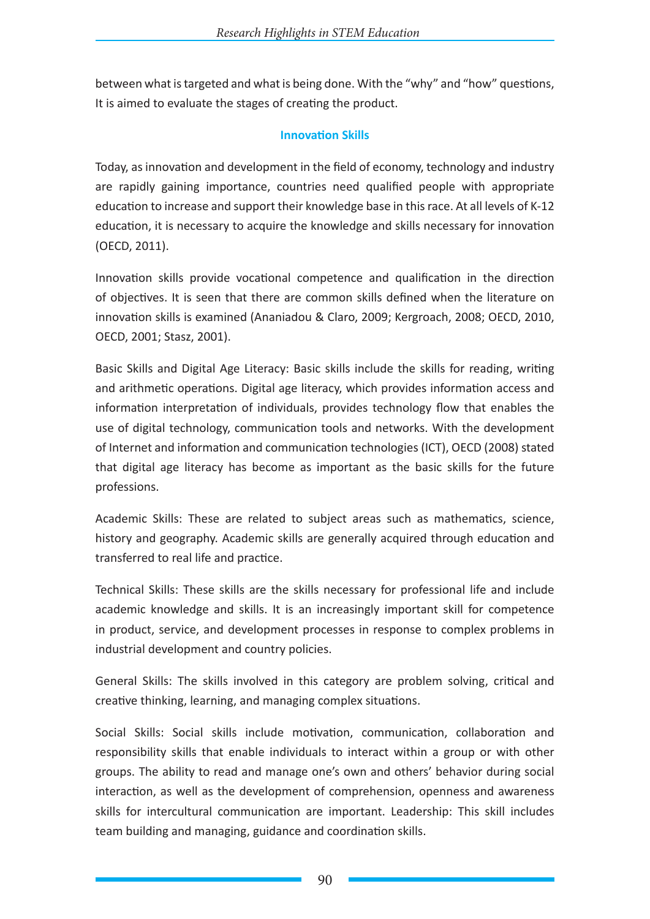between what is targeted and what is being done. With the "why" and "how" questions, It is aimed to evaluate the stages of creating the product.

#### **Innovation Skills**

Today, as innovation and development in the field of economy, technology and industry are rapidly gaining importance, countries need qualified people with appropriate education to increase and support their knowledge base in this race. At all levels of K-12 education, it is necessary to acquire the knowledge and skills necessary for innovation (OECD, 2011).

Innovation skills provide vocational competence and qualification in the direction of objectives. It is seen that there are common skills defined when the literature on innovation skills is examined (Ananiadou & Claro, 2009; Kergroach, 2008; OECD, 2010, OECD, 2001; Stasz, 2001).

Basic Skills and Digital Age Literacy: Basic skills include the skills for reading, writing and arithmetic operations. Digital age literacy, which provides information access and information interpretation of individuals, provides technology flow that enables the use of digital technology, communication tools and networks. With the development of Internet and information and communication technologies (ICT), OECD (2008) stated that digital age literacy has become as important as the basic skills for the future professions.

Academic Skills: These are related to subject areas such as mathematics, science, history and geography. Academic skills are generally acquired through education and transferred to real life and practice.

Technical Skills: These skills are the skills necessary for professional life and include academic knowledge and skills. It is an increasingly important skill for competence in product, service, and development processes in response to complex problems in industrial development and country policies.

General Skills: The skills involved in this category are problem solving, critical and creative thinking, learning, and managing complex situations.

Social Skills: Social skills include motivation, communication, collaboration and responsibility skills that enable individuals to interact within a group or with other groups. The ability to read and manage one's own and others' behavior during social interaction, as well as the development of comprehension, openness and awareness skills for intercultural communication are important. Leadership: This skill includes team building and managing, guidance and coordination skills.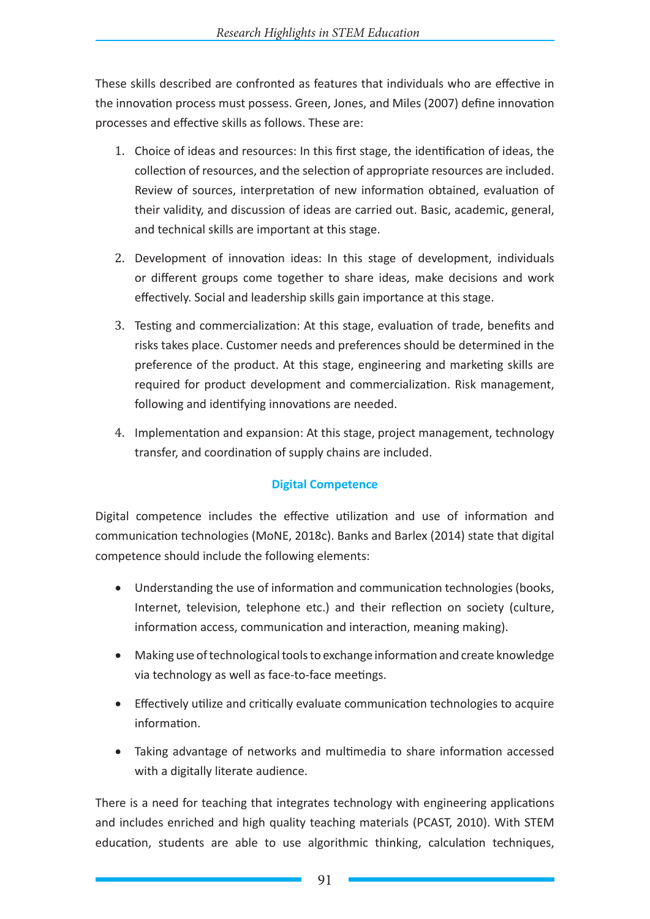These skills described are confronted as features that individuals who are effective in the innovation process must possess. Green, Jones, and Miles (2007) define innovation processes and effective skills as follows. These are:

- 1. Choice of ideas and resources: In this first stage, the identification of ideas, the collection of resources, and the selection of appropriate resources are included. Review of sources, interpretation of new information obtained, evaluation of their validity, and discussion of ideas are carried out. Basic, academic, general, and technical skills are important at this stage.
- 2. Development of innovation ideas: In this stage of development, individuals or different groups come together to share ideas, make decisions and work effectively. Social and leadership skills gain importance at this stage.
- 3. Testing and commercialization: At this stage, evaluation of trade, benefits and risks takes place. Customer needs and preferences should be determined in the preference of the product. At this stage, engineering and marketing skills are required for product development and commercialization. Risk management, following and identifying innovations are needed.
- 4. Implementation and expansion: At this stage, project management, technology transfer, and coordination of supply chains are included.

## **Digital Competence**

Digital competence includes the effective utilization and use of information and communication technologies (MoNE, 2018c). Banks and Barlex (2014) state that digital competence should include the following elements:

- Understanding the use of information and communication technologies (books, Internet, television, telephone etc.) and their reflection on society (culture, information access, communication and interaction, meaning making).
- • Making use of technological tools to exchange information and create knowledge via technology as well as face-to-face meetings.
- Effectively utilize and critically evaluate communication technologies to acquire information.
- Taking advantage of networks and multimedia to share information accessed with a digitally literate audience.

There is a need for teaching that integrates technology with engineering applications and includes enriched and high quality teaching materials (PCAST, 2010). With STEM education, students are able to use algorithmic thinking, calculation techniques,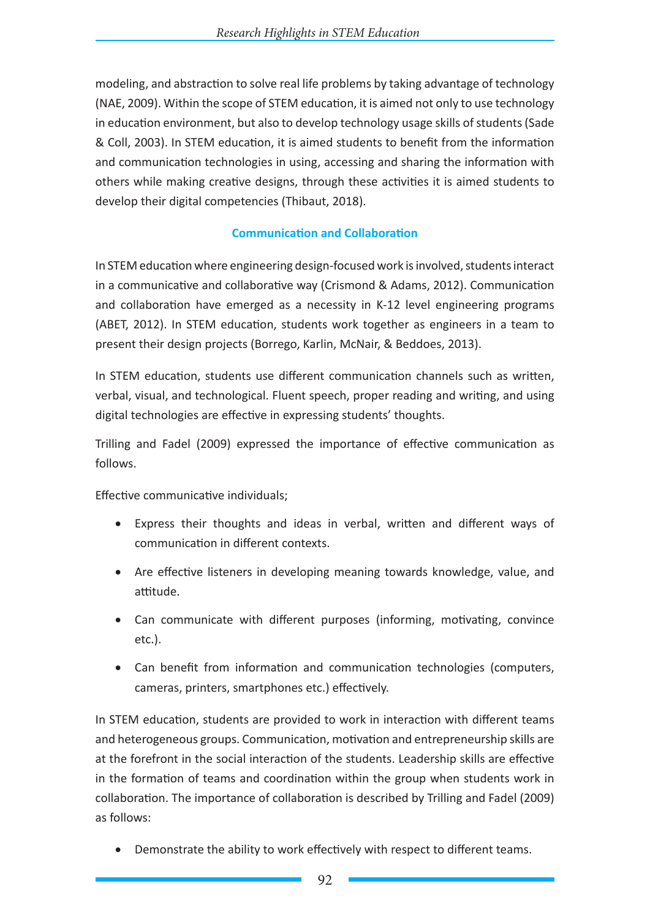modeling, and abstraction to solve real life problems by taking advantage of technology (NAE, 2009). Within the scope of STEM education, it is aimed not only to use technology in education environment, but also to develop technology usage skills of students (Sade & Coll, 2003). In STEM education, it is aimed students to benefit from the information and communication technologies in using, accessing and sharing the information with others while making creative designs, through these activities it is aimed students to develop their digital competencies (Thibaut, 2018).

### **Communication and Collaboration**

In STEM education where engineering design-focused work is involved, students interact in a communicative and collaborative way (Crismond & Adams, 2012). Communication and collaboration have emerged as a necessity in K-12 level engineering programs (ABET, 2012). In STEM education, students work together as engineers in a team to present their design projects (Borrego, Karlin, McNair, & Beddoes, 2013).

In STEM education, students use different communication channels such as written, verbal, visual, and technological. Fluent speech, proper reading and writing, and using digital technologies are effective in expressing students' thoughts.

Trilling and Fadel (2009) expressed the importance of effective communication as follows.

Effective communicative individuals;

- Express their thoughts and ideas in verbal, written and different ways of communication in different contexts.
- Are effective listeners in developing meaning towards knowledge, value, and attitude.
- Can communicate with different purposes (informing, motivating, convince etc.).
- Can benefit from information and communication technologies (computers, cameras, printers, smartphones etc.) effectively.

In STEM education, students are provided to work in interaction with different teams and heterogeneous groups. Communication, motivation and entrepreneurship skills are at the forefront in the social interaction of the students. Leadership skills are effective in the formation of teams and coordination within the group when students work in collaboration. The importance of collaboration is described by Trilling and Fadel (2009) as follows:

• Demonstrate the ability to work effectively with respect to different teams.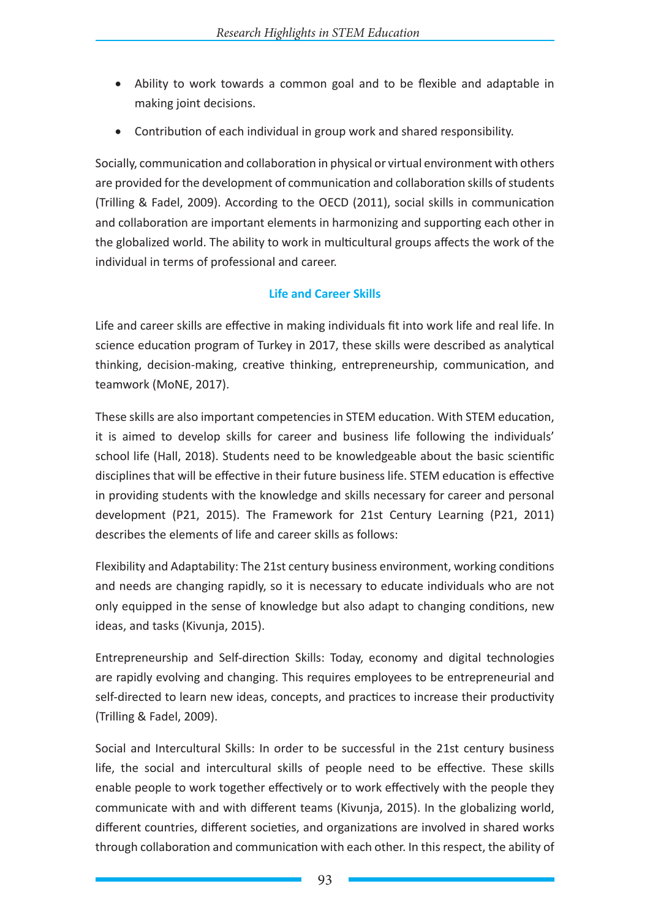- Ability to work towards a common goal and to be flexible and adaptable in making joint decisions.
- Contribution of each individual in group work and shared responsibility.

Socially, communication and collaboration in physical or virtual environment with others are provided for the development of communication and collaboration skills of students (Trilling & Fadel, 2009). According to the OECD (2011), social skills in communication and collaboration are important elements in harmonizing and supporting each other in the globalized world. The ability to work in multicultural groups affects the work of the individual in terms of professional and career.

## **Life and Career Skills**

Life and career skills are effective in making individuals fit into work life and real life. In science education program of Turkey in 2017, these skills were described as analytical thinking, decision-making, creative thinking, entrepreneurship, communication, and teamwork (MoNE, 2017).

These skills are also important competencies in STEM education. With STEM education, it is aimed to develop skills for career and business life following the individuals' school life (Hall, 2018). Students need to be knowledgeable about the basic scientific disciplines that will be effective in their future business life. STEM education is effective in providing students with the knowledge and skills necessary for career and personal development (P21, 2015). The Framework for 21st Century Learning (P21, 2011) describes the elements of life and career skills as follows:

Flexibility and Adaptability: The 21st century business environment, working conditions and needs are changing rapidly, so it is necessary to educate individuals who are not only equipped in the sense of knowledge but also adapt to changing conditions, new ideas, and tasks (Kivunja, 2015).

Entrepreneurship and Self-direction Skills: Today, economy and digital technologies are rapidly evolving and changing. This requires employees to be entrepreneurial and self-directed to learn new ideas, concepts, and practices to increase their productivity (Trilling & Fadel, 2009).

Social and Intercultural Skills: In order to be successful in the 21st century business life, the social and intercultural skills of people need to be effective. These skills enable people to work together effectively or to work effectively with the people they communicate with and with different teams (Kivunja, 2015). In the globalizing world, different countries, different societies, and organizations are involved in shared works through collaboration and communication with each other. In this respect, the ability of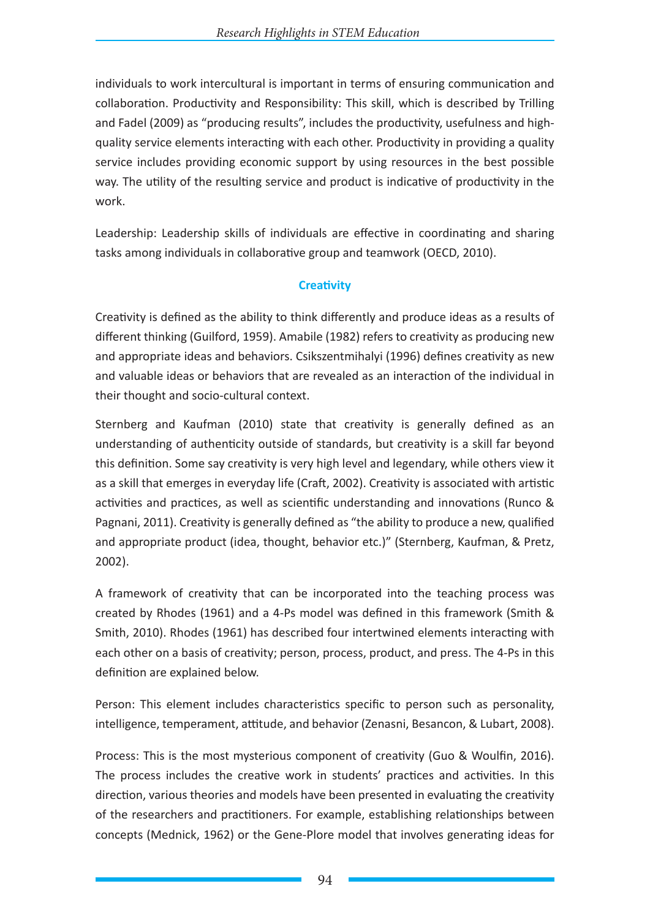individuals to work intercultural is important in terms of ensuring communication and collaboration. Productivity and Responsibility: This skill, which is described by Trilling and Fadel (2009) as "producing results", includes the productivity, usefulness and highquality service elements interacting with each other. Productivity in providing a quality service includes providing economic support by using resources in the best possible way. The utility of the resulting service and product is indicative of productivity in the work.

Leadership: Leadership skills of individuals are effective in coordinating and sharing tasks among individuals in collaborative group and teamwork (OECD, 2010).

### **Creativity**

Creativity is defined as the ability to think differently and produce ideas as a results of different thinking (Guilford, 1959). Amabile (1982) refers to creativity as producing new and appropriate ideas and behaviors. Csikszentmihalyi (1996) defines creativity as new and valuable ideas or behaviors that are revealed as an interaction of the individual in their thought and socio-cultural context.

Sternberg and Kaufman (2010) state that creativity is generally defined as an understanding of authenticity outside of standards, but creativity is a skill far beyond this definition. Some say creativity is very high level and legendary, while others view it as a skill that emerges in everyday life (Craft, 2002). Creativity is associated with artistic activities and practices, as well as scientific understanding and innovations (Runco & Pagnani, 2011). Creativity is generally defined as "the ability to produce a new, qualified and appropriate product (idea, thought, behavior etc.)" (Sternberg, Kaufman, & Pretz, 2002).

A framework of creativity that can be incorporated into the teaching process was created by Rhodes (1961) and a 4-Ps model was defined in this framework (Smith & Smith, 2010). Rhodes (1961) has described four intertwined elements interacting with each other on a basis of creativity; person, process, product, and press. The 4-Ps in this definition are explained below.

Person: This element includes characteristics specific to person such as personality, intelligence, temperament, attitude, and behavior (Zenasni, Besancon, & Lubart, 2008).

Process: This is the most mysterious component of creativity (Guo & Woulfin, 2016). The process includes the creative work in students' practices and activities. In this direction, various theories and models have been presented in evaluating the creativity of the researchers and practitioners. For example, establishing relationships between concepts (Mednick, 1962) or the Gene-Plore model that involves generating ideas for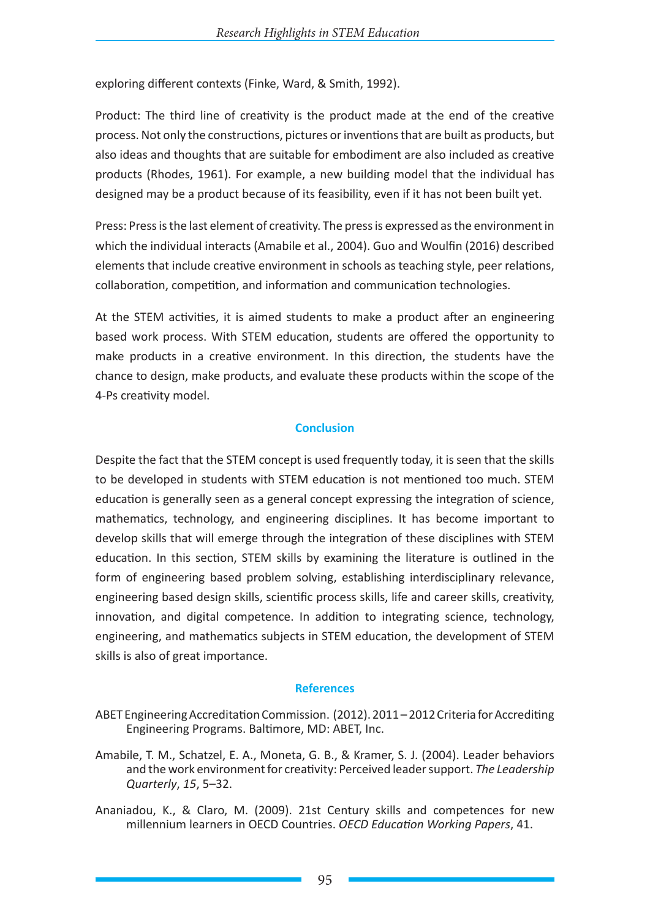exploring different contexts (Finke, Ward, & Smith, 1992).

Product: The third line of creativity is the product made at the end of the creative process. Not only the constructions, pictures or inventions that are built as products, but also ideas and thoughts that are suitable for embodiment are also included as creative products (Rhodes, 1961). For example, a new building model that the individual has designed may be a product because of its feasibility, even if it has not been built yet.

Press: Press is the last element of creativity. The press is expressed as the environment in which the individual interacts (Amabile et al., 2004). Guo and Woulfin (2016) described elements that include creative environment in schools as teaching style, peer relations, collaboration, competition, and information and communication technologies.

At the STEM activities, it is aimed students to make a product after an engineering based work process. With STEM education, students are offered the opportunity to make products in a creative environment. In this direction, the students have the chance to design, make products, and evaluate these products within the scope of the 4-Ps creativity model.

#### **Conclusion**

Despite the fact that the STEM concept is used frequently today, it is seen that the skills to be developed in students with STEM education is not mentioned too much. STEM education is generally seen as a general concept expressing the integration of science, mathematics, technology, and engineering disciplines. It has become important to develop skills that will emerge through the integration of these disciplines with STEM education. In this section, STEM skills by examining the literature is outlined in the form of engineering based problem solving, establishing interdisciplinary relevance, engineering based design skills, scientific process skills, life and career skills, creativity, innovation, and digital competence. In addition to integrating science, technology, engineering, and mathematics subjects in STEM education, the development of STEM skills is also of great importance.

#### **References**

- ABET Engineering Accreditation Commission. (2012). 2011 2012 Criteria for Accrediting Engineering Programs. Baltimore, MD: ABET, Inc.
- Amabile, T. M., Schatzel, E. A., Moneta, G. B., & Kramer, S. J. (2004). Leader behaviors and the work environment for creativity: Perceived leader support. *The Leadership Quarterly*, *15*, 5–32.
- Ananiadou, K., & Claro, M. (2009). 21st Century skills and competences for new millennium learners in OECD Countries. *OECD Education Working Papers*, 41.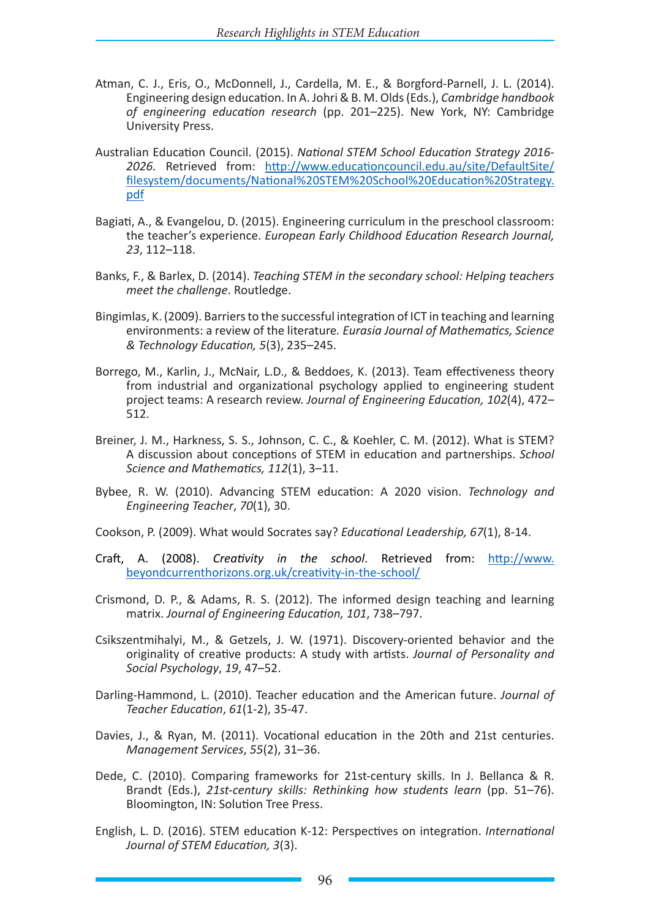- Atman, C. J., Eris, O., McDonnell, J., Cardella, M. E., & Borgford-Parnell, J. L. (2014). Engineering design education. In A. Johri & B. M. Olds (Eds.), *Cambridge handbook of engineering education research* (pp. 201–225). New York, NY: Cambridge University Press.
- Australian Education Council. (2015). *National STEM School Education Strategy 2016- 2026.* Retrieved from: http://www.educationcouncil.edu.au/site/DefaultSite/ filesystem/documents/National%20STEM%20School%20Education%20Strategy. pdf
- Bagiati, A., & Evangelou, D. (2015). Engineering curriculum in the preschool classroom: the teacher's experience. *European Early Childhood Education Research Journal, 23*, 112–118.
- Banks, F., & Barlex, D. (2014). *Teaching STEM in the secondary school: Helping teachers meet the challenge*. Routledge.
- Bingimlas, K. (2009). Barriers to the successful integration of ICT in teaching and learning environments: a review of the literature*. Eurasia Journal of Mathematics, Science & Technology Education, 5*(3), 235–245.
- Borrego, M., Karlin, J., McNair, L.D., & Beddoes, K. (2013). Team effectiveness theory from industrial and organizational psychology applied to engineering student project teams: A research review. *Journal of Engineering Education, 102*(4), 472– 512.
- Breiner, J. M., Harkness, S. S., Johnson, C. C., & Koehler, C. M. (2012). What is STEM? A discussion about conceptions of STEM in education and partnerships. *School Science and Mathematics, 112*(1), 3–11.
- Bybee, R. W. (2010). Advancing STEM education: A 2020 vision. *Technology and Engineering Teacher*, *70*(1), 30.
- Cookson, P. (2009). What would Socrates say? *Educational Leadership, 67*(1), 8-14.
- Craft, A. (2008). *Creativity in the school*. Retrieved from: http://www. beyondcurrenthorizons.org.uk/creativity-in-the-school/
- Crismond, D. P., & Adams, R. S. (2012). The informed design teaching and learning matrix. *Journal of Engineering Education, 101*, 738–797.
- Csikszentmihalyi, M., & Getzels, J. W. (1971). Discovery-oriented behavior and the originality of creative products: A study with artists. *Journal of Personality and Social Psychology*, *19*, 47–52.
- Darling-Hammond, L. (2010). Teacher education and the American future. *Journal of Teacher Education*, *61*(1-2), 35-47.
- Davies, J., & Ryan, M. (2011). Vocational education in the 20th and 21st centuries. *Management Services*, *55*(2), 31–36.
- Dede, C. (2010). Comparing frameworks for 21st-century skills. In J. Bellanca & R. Brandt (Eds.), *21st-century skills: Rethinking how students learn* (pp. 51–76). Bloomington, IN: Solution Tree Press.
- English, L. D. (2016). STEM education K-12: Perspectives on integration. *International Journal of STEM Education, 3*(3).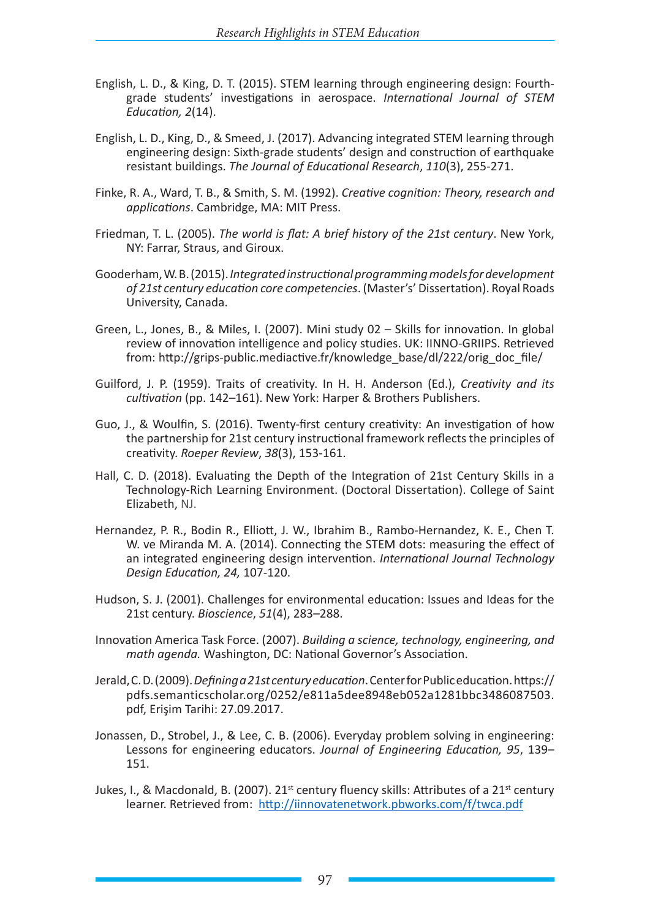- English, L. D., & King, D. T. (2015). STEM learning through engineering design: Fourthgrade students' investigations in aerospace. *International Journal of STEM Education, 2*(14).
- English, L. D., King, D., & Smeed, J. (2017). Advancing integrated STEM learning through engineering design: Sixth-grade students' design and construction of earthquake resistant buildings. *The Journal of Educational Research*, *110*(3), 255-271.
- Finke, R. A., Ward, T. B., & Smith, S. M. (1992). *Creative cognition: Theory, research and applications*. Cambridge, MA: MIT Press.
- Friedman, T. L. (2005). *The world is flat: A brief history of the 21st century*. New York, NY: Farrar, Straus, and Giroux.
- Gooderham, W. B. (2015). *Integrated instructional programming models for development of 21st century education core competencies*. (Master's' Dissertation). Royal Roads University, Canada.
- Green, L., Jones, B., & Miles, I. (2007). Mini study 02 Skills for innovation. In global review of innovation intelligence and policy studies. UK: IINNO-GRIIPS. Retrieved from: http://grips-public.mediactive.fr/knowledge\_base/dl/222/orig\_doc\_file/
- Guilford, J. P. (1959). Traits of creativity. In H. H. Anderson (Ed.), *Creativity and its cultivation* (pp. 142–161). New York: Harper & Brothers Publishers.
- Guo, J., & Woulfin, S. (2016). Twenty-first century creativity: An investigation of how the partnership for 21st century instructional framework reflects the principles of creativity. *Roeper Review*, *38*(3), 153-161.
- Hall, C. D. (2018). Evaluating the Depth of the Integration of 21st Century Skills in a Technology-Rich Learning Environment. (Doctoral Dissertation). College of Saint Elizabeth, NJ.
- Hernandez, P. R., Bodin R., Elliott, J. W., Ibrahim B., Rambo-Hernandez, K. E., Chen T. W. ve Miranda M. A. (2014). Connecting the STEM dots: measuring the effect of an integrated engineering design intervention. *International Journal Technology Design Education, 24,* 107-120.
- Hudson, S. J. (2001). Challenges for environmental education: Issues and Ideas for the 21st century. *Bioscience*, *51*(4), 283–288.
- Innovation America Task Force. (2007). *Building a science, technology, engineering, and math agenda.* Washington, DC: National Governor's Association.
- Jerald, C. D. (2009). *Defining a 21st century education*.Center for Public education. https:// pdfs.semanticscholar.org/0252/e811a5dee8948eb052a1281bbc3486087503. pdf, Erişim Tarihi: 27.09.2017.
- Jonassen, D., Strobel, J., & Lee, C. B. (2006). Everyday problem solving in engineering: Lessons for engineering educators. *Journal of Engineering Education, 95*, 139– 151.
- Jukes, I., & Macdonald, B. (2007). 21<sup>st</sup> century fluency skills: Attributes of a 21<sup>st</sup> century learner. Retrieved from: http://iinnovatenetwork.pbworks.com/f/twca.pdf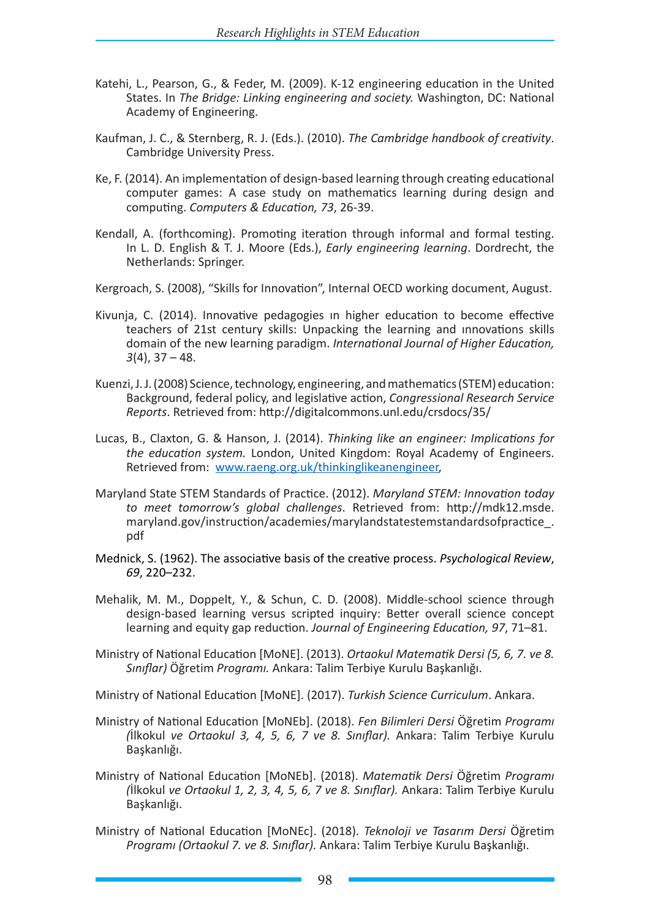- Katehi, L., Pearson, G., & Feder, M. (2009). K-12 engineering education in the United States. In *The Bridge: Linking engineering and society.* Washington, DC: National Academy of Engineering.
- Kaufman, J. C., & Sternberg, R. J. (Eds.). (2010). *The Cambridge handbook of creativity*. Cambridge University Press.
- Ke, F. (2014). An implementation of design-based learning through creating educational computer games: A case study on mathematics learning during design and computing. *Computers & Education, 73*, 26-39.
- Kendall, A. (forthcoming). Promoting iteration through informal and formal testing. In L. D. English & T. J. Moore (Eds.), *Early engineering learning*. Dordrecht, the Netherlands: Springer.
- Kergroach, S. (2008), "Skills for Innovation", Internal OECD working document, August.
- Kivunja, C. (2014). Innovative pedagogies ın higher education to become effective teachers of 21st century skills: Unpacking the learning and ınnovations skills domain of the new learning paradigm. *International Journal of Higher Education, 3*(4), 37 – 48.
- Kuenzi, J. J. (2008) Science, technology, engineering, and mathematics (STEM) education: Background, federal policy, and legislative action, *Congressional Research Service Reports*. Retrieved from: http://digitalcommons.unl.edu/crsdocs/35/
- Lucas, B., Claxton, G. & Hanson, J. (2014). *Thinking like an engineer: Implications for the education system.* London, United Kingdom: Royal Academy of Engineers. Retrieved from: www.raeng.org.uk/thinkinglikeanengineer,
- Maryland State STEM Standards of Practice. (2012). *Maryland STEM: Innovation today to meet tomorrow's global challenges*. Retrieved from: http://mdk12.msde. maryland.gov/instruction/academies/marylandstatestemstandardsofpractice\_. pdf
- Mednick, S. (1962). The associative basis of the creative process. *Psychological Review*, *69*, 220–232.
- Mehalik, M. M., Doppelt, Y., & Schun, C. D. (2008). Middle-school science through design-based learning versus scripted inquiry: Better overall science concept learning and equity gap reduction. *Journal of Engineering Education, 97*, 71–81.
- Ministry of National Education [MoNE]. (2013). *Ortaokul Matematik Dersi (5, 6, 7. ve 8. Sınıflar)* Öğretim *Programı.* Ankara: Talim Terbiye Kurulu Başkanlığı.

Ministry of National Education [MoNE]. (2017). *Turkish Science Curriculum*. Ankara.

- Ministry of National Education [MoNEb]. (2018). *Fen Bilimleri Dersi* Öğretim *Programı (*İlkokul *ve Ortaokul 3, 4, 5, 6, 7 ve 8. Sınıflar).* Ankara: Talim Terbiye Kurulu Başkanlığı.
- Ministry of National Education [MoNEb]. (2018). *Matematik Dersi* Öğretim *Programı (*İlkokul *ve Ortaokul 1, 2, 3, 4, 5, 6, 7 ve 8. Sınıflar).* Ankara: Talim Terbiye Kurulu Başkanlığı.
- Ministry of National Education [MoNEc]. (2018). *Teknoloji ve Tasarım Dersi* Öğretim *Programı (Ortaokul 7. ve 8. Sınıflar).* Ankara: Talim Terbiye Kurulu Başkanlığı.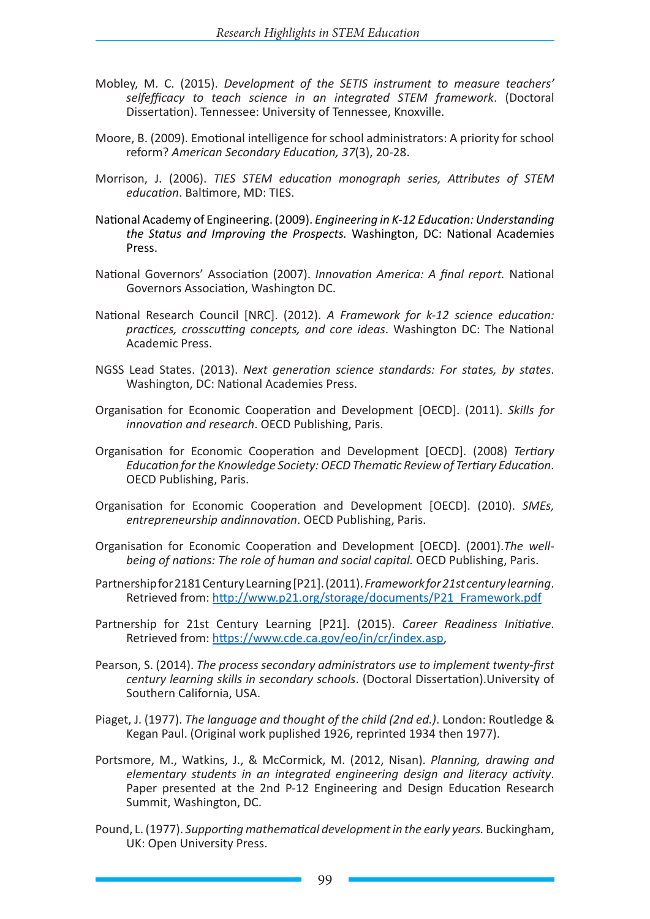- Mobley, M. C. (2015). *Development of the SETIS instrument to measure teachers' selfefficacy to teach science in an integrated STEM framework*. (Doctoral Dissertation). Tennessee: University of Tennessee, Knoxville.
- Moore, B. (2009). Emotional intelligence for school administrators: A priority for school reform? *American Secondary Education, 37*(3), 20-28.
- Morrison, J. (2006). *TIES STEM education monograph series, Attributes of STEM education*. Baltimore, MD: TIES.
- National Academy of Engineering. (2009). *Engineering in K-12 Education: Understanding the Status and Improving the Prospects.* Washington, DC: National Academies Press.
- National Governors' Association (2007). *Innovation America: A final report.* National Governors Association, Washington DC.
- National Research Council [NRC]. (2012). *A Framework for k-12 science education: practices, crosscutting concepts, and core ideas*. Washington DC: The National Academic Press.
- NGSS Lead States. (2013). *Next generation science standards: For states, by states*. Washington, DC: National Academies Press.
- Organisation for Economic Cooperation and Development [OECD]. (2011). *Skills for innovation and research*. OECD Publishing, Paris.
- Organisation for Economic Cooperation and Development [OECD]. (2008) *Tertiary Education for the Knowledge Society: OECD Thematic Review of Tertiary Education*. OECD Publishing, Paris.
- Organisation for Economic Cooperation and Development [OECD]. (2010). *SMEs, entrepreneurship andinnovation*. OECD Publishing, Paris.
- Organisation for Economic Cooperation and Development [OECD]. (2001).*The wellbeing of nations: The role of human and social capital.* OECD Publishing, Paris.
- Partnership for 2181 Century Learning [P21]. (2011). *Framework for 21st century learning*. Retrieved from: http://www.p21.org/storage/documents/P21\_Framework.pdf
- Partnership for 21st Century Learning [P21]. (2015). *Career Readiness Initiative*. Retrieved from: https://www.cde.ca.gov/eo/in/cr/index.asp,
- Pearson, S. (2014). *The process secondary administrators use to implement twenty-first century learning skills in secondary schools*. (Doctoral Dissertation).University of Southern California, USA.
- Piaget, J. (1977). *The language and thought of the child (2nd ed.)*. London: Routledge & Kegan Paul. (Original work puplished 1926, reprinted 1934 then 1977).
- Portsmore, M., Watkins, J., & McCormick, M. (2012, Nisan). *Planning, drawing and elementary students in an integrated engineering design and literacy activity*. Paper presented at the 2nd P-12 Engineering and Design Education Research Summit, Washington, DC.
- Pound, L. (1977). *Supporting mathematical development in the early years.* Buckingham, UK: Open University Press.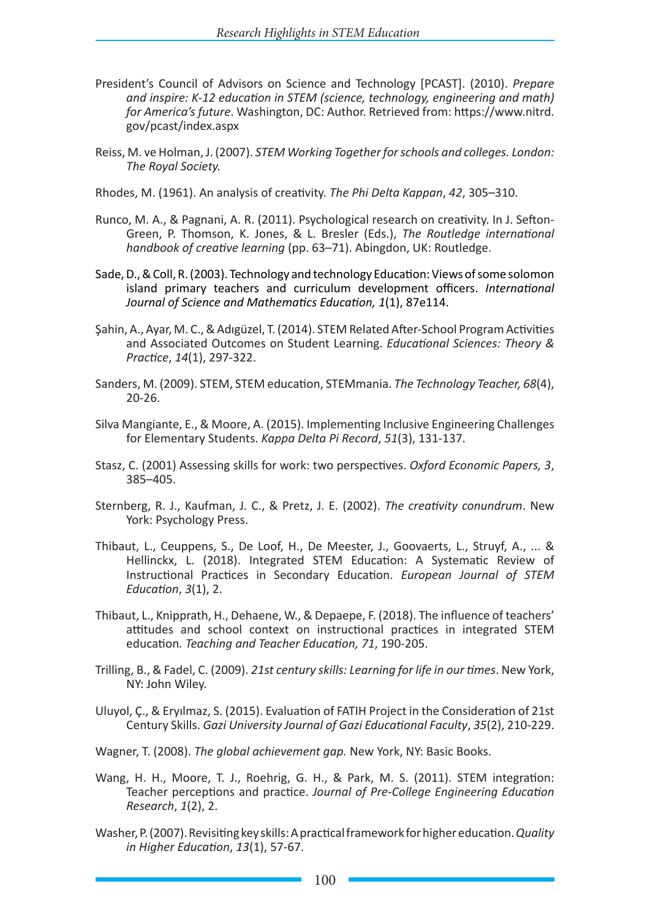- President's Council of Advisors on Science and Technology [PCAST]. (2010). *Prepare and inspire: K-12 education in STEM (science, technology, engineering and math) for America's future*. Washington, DC: Author. Retrieved from: https://www.nitrd. gov/pcast/index.aspx
- Reiss, M. ve Holman, J. (2007). *STEM Working Together for schools and colleges. London: The Royal Society.*
- Rhodes, M. (1961). An analysis of creativity. *The Phi Delta Kappan*, *42*, 305–310.
- Runco, M. A., & Pagnani, A. R. (2011). Psychological research on creativity. In J. Sefton-Green, P. Thomson, K. Jones, & L. Bresler (Eds.), *The Routledge international handbook of creative learning* (pp. 63–71). Abingdon, UK: Routledge.
- Sade, D., & Coll, R. (2003). Technology and technology Education: Views of some solomon island primary teachers and curriculum development officers. *International Journal of Science and Mathematics Education, 1*(1), 87e114.
- Şahin, A., Ayar, M. C., & Adıgüzel, T. (2014). STEM Related After-School Program Activities and Associated Outcomes on Student Learning. *Educational Sciences: Theory & Practice*, *14*(1), 297-322.
- Sanders, M. (2009). STEM, STEM education, STEMmania. *The Technology Teacher, 68*(4), 20-26.
- Silva Mangiante, E., & Moore, A. (2015). Implementing Inclusive Engineering Challenges for Elementary Students. *Kappa Delta Pi Record*, *51*(3), 131-137.
- Stasz, C. (2001) Assessing skills for work: two perspectives. *Oxford Economic Papers, 3*, 385–405.
- Sternberg, R. J., Kaufman, J. C., & Pretz, J. E. (2002). *The creativity conundrum*. New York: Psychology Press.
- Thibaut, L., Ceuppens, S., De Loof, H., De Meester, J., Goovaerts, L., Struyf, A., ... & Hellinckx, L. (2018). Integrated STEM Education: A Systematic Review of Instructional Practices in Secondary Education. *European Journal of STEM Education*, *3*(1), 2.
- Thibaut, L., Knipprath, H., Dehaene, W., & Depaepe, F. (2018). The influence of teachers' attitudes and school context on instructional practices in integrated STEM education*. Teaching and Teacher Education, 71*, 190-205.
- Trilling, B., & Fadel, C. (2009). *21st century skills: Learning for life in our times*. New York, NY: John Wiley.
- Uluyol, Ç., & Eryılmaz, S. (2015). Evaluation of FATIH Project in the Consideration of 21st Century Skills. *Gazi University Journal of Gazi Educational Faculty*, *35*(2), 210-229.
- Wagner, T. (2008). *The global achievement gap.* New York, NY: Basic Books.
- Wang, H. H., Moore, T. J., Roehrig, G. H., & Park, M. S. (2011). STEM integration: Teacher perceptions and practice. *Journal of Pre-College Engineering Education Research*, *1*(2), 2.
- Washer, P. (2007). Revisiting key skills: A practical framework for higher education.*Quality in Higher Education*, *13*(1), 57-67.